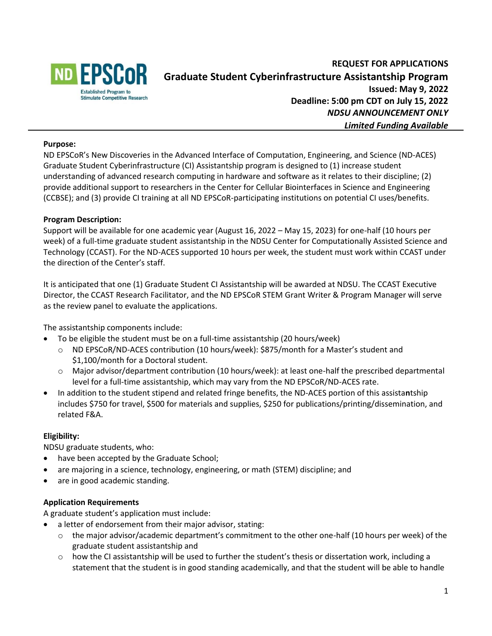

# **REQUEST FOR APPLICATIONS Graduate Student Cyberinfrastructure Assistantship Program Issued: May 9, 2022 Deadline: 5:00 pm CDT on July 15, 2022** *NDSU ANNOUNCEMENT ONLY Limited Funding Available*

### **Purpose:**

ND EPSCoR's New Discoveries in the Advanced Interface of Computation, Engineering, and Science (ND-ACES) Graduate Student Cyberinfrastructure (CI) Assistantship program is designed to (1) increase student understanding of advanced research computing in hardware and software as it relates to their discipline; (2) provide additional support to researchers in the Center for Cellular Biointerfaces in Science and Engineering (CCBSE); and (3) provide CI training at all ND EPSCoR-participating institutions on potential CI uses/benefits.

### **Program Description:**

Support will be available for one academic year (August 16, 2022 – May 15, 2023) for one-half (10 hours per week) of a full-time graduate student assistantship in the NDSU Center for Computationally Assisted Science and Technology (CCAST). For the ND-ACES supported 10 hours per week, the student must work within CCAST under the direction of the Center's staff.

It is anticipated that one (1) Graduate Student CI Assistantship will be awarded at NDSU. The CCAST Executive Director, the CCAST Research Facilitator, and the ND EPSCoR STEM Grant Writer & Program Manager will serve as the review panel to evaluate the applications.

The assistantship components include:

- To be eligible the student must be on a full-time assistantship (20 hours/week)
	- o ND EPSCoR/ND-ACES contribution (10 hours/week): \$875/month for a Master's student and \$1,100/month for a Doctoral student.
	- o Major advisor/department contribution (10 hours/week): at least one-half the prescribed departmental level for a full-time assistantship, which may vary from the ND EPSCoR/ND-ACES rate.
- In addition to the student stipend and related fringe benefits, the ND-ACES portion of this assista**n**tship includes \$750 for travel, \$500 for materials and supplies, \$250 for publications/printing/dissemination, and related F&A.

### **Eligibility:**

NDSU graduate students, who:

- have been accepted by the Graduate School;
- are majoring in a science, technology, engineering, or math (STEM) discipline; and
- are in good academic standing.

### **Application Requirements**

A graduate student's application must include:

- a letter of endorsement from their major advisor, stating:
	- $\circ$  the major advisor/academic department's commitment to the other one-half (10 hours per week) of the graduate student assistantship and
	- o how the CI assistantship will be used to further the student's thesis or dissertation work, including a statement that the student is in good standing academically, and that the student will be able to handle